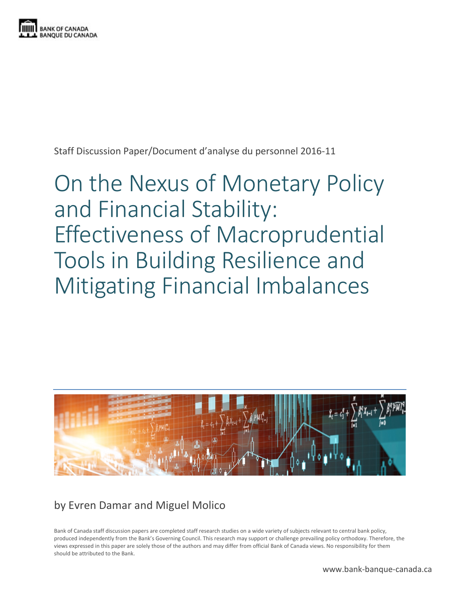

Staff Discussion Paper/Document d'analyse du personnel 2016-11

# On the Nexus of Monetary Policy and Financial Stability: Effectiveness of Macroprudential Tools in Building Resilience and Mitigating Financial Imbalances



## by Evren Damar and Miguel Molico

Bank of Canada staff discussion papers are completed staff research studies on a wide variety of subjects relevant to central bank policy, produced independently from the Bank's Governing Council. This research may support or challenge prevailing policy orthodoxy. Therefore, the views expressed in this paper are solely those of the authors and may differ from official Bank of Canada views. No responsibility for them should be attributed to the Bank.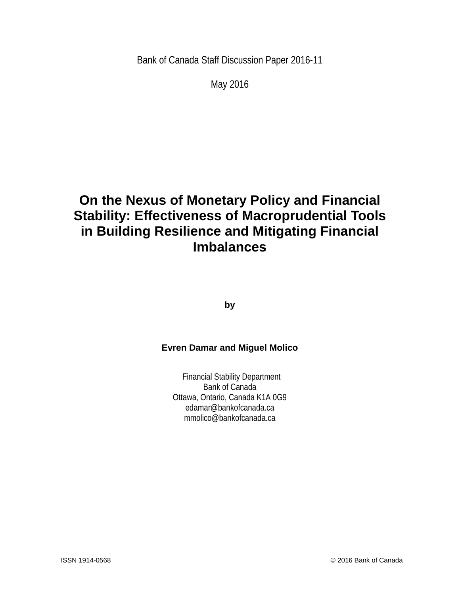Bank of Canada Staff Discussion Paper 2016-11

May 2016

# **On the Nexus of Monetary Policy and Financial Stability: Effectiveness of Macroprudential Tools in Building Resilience and Mitigating Financial Imbalances**

**by**

#### **Evren Damar and Miguel Molico**

Financial Stability Department Bank of Canada Ottawa, Ontario, Canada K1A 0G9 edamar@bankofcanada.ca mmolico@bankofcanada.ca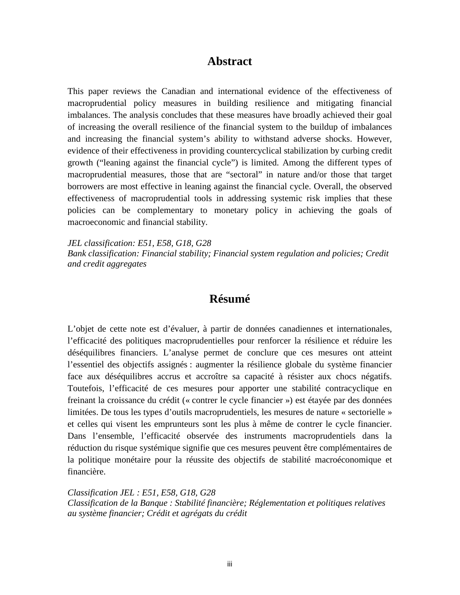#### **Abstract**

This paper reviews the Canadian and international evidence of the effectiveness of macroprudential policy measures in building resilience and mitigating financial imbalances. The analysis concludes that these measures have broadly achieved their goal of increasing the overall resilience of the financial system to the buildup of imbalances and increasing the financial system's ability to withstand adverse shocks. However, evidence of their effectiveness in providing countercyclical stabilization by curbing credit growth ("leaning against the financial cycle") is limited. Among the different types of macroprudential measures, those that are "sectoral" in nature and/or those that target borrowers are most effective in leaning against the financial cycle. Overall, the observed effectiveness of macroprudential tools in addressing systemic risk implies that these policies can be complementary to monetary policy in achieving the goals of macroeconomic and financial stability.

*JEL classification: E51, E58, G18, G28 Bank classification: Financial stability; Financial system regulation and policies; Credit and credit aggregates*

#### **Résumé**

L'objet de cette note est d'évaluer, à partir de données canadiennes et internationales, l'efficacité des politiques macroprudentielles pour renforcer la résilience et réduire les déséquilibres financiers. L'analyse permet de conclure que ces mesures ont atteint l'essentiel des objectifs assignés : augmenter la résilience globale du système financier face aux déséquilibres accrus et accroître sa capacité à résister aux chocs négatifs. Toutefois, l'efficacité de ces mesures pour apporter une stabilité contracyclique en freinant la croissance du crédit (« contrer le cycle financier ») est étayée par des données limitées. De tous les types d'outils macroprudentiels, les mesures de nature « sectorielle » et celles qui visent les emprunteurs sont les plus à même de contrer le cycle financier. Dans l'ensemble, l'efficacité observée des instruments macroprudentiels dans la réduction du risque systémique signifie que ces mesures peuvent être complémentaires de la politique monétaire pour la réussite des objectifs de stabilité macroéconomique et financière.

*Classification JEL : E51, E58, G18, G28 Classification de la Banque : Stabilité financière; Réglementation et politiques relatives au système financier; Crédit et agrégats du crédit*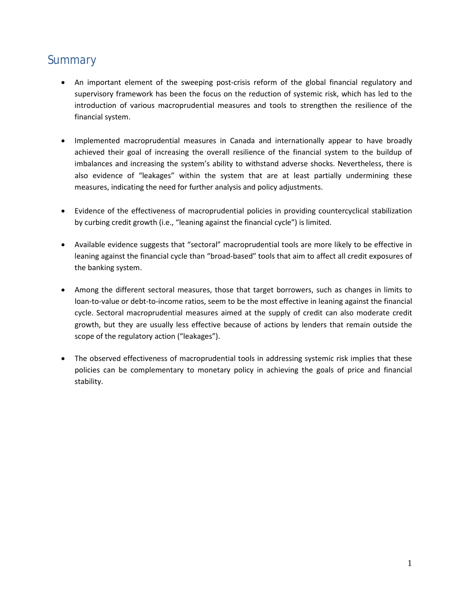# **Summary**

- An important element of the sweeping post-crisis reform of the global financial regulatory and supervisory framework has been the focus on the reduction of systemic risk, which has led to the introduction of various macroprudential measures and tools to strengthen the resilience of the financial system.
- Implemented macroprudential measures in Canada and internationally appear to have broadly achieved their goal of increasing the overall resilience of the financial system to the buildup of imbalances and increasing the system's ability to withstand adverse shocks. Nevertheless, there is also evidence of "leakages" within the system that are at least partially undermining these measures, indicating the need for further analysis and policy adjustments.
- Evidence of the effectiveness of macroprudential policies in providing countercyclical stabilization by curbing credit growth (i.e., "leaning against the financial cycle") is limited.
- Available evidence suggests that "sectoral" macroprudential tools are more likely to be effective in leaning against the financial cycle than "broad-based" tools that aim to affect all credit exposures of the banking system.
- Among the different sectoral measures, those that target borrowers, such as changes in limits to loan-to-value or debt-to-income ratios, seem to be the most effective in leaning against the financial cycle. Sectoral macroprudential measures aimed at the supply of credit can also moderate credit growth, but they are usually less effective because of actions by lenders that remain outside the scope of the regulatory action ("leakages").
- The observed effectiveness of macroprudential tools in addressing systemic risk implies that these policies can be complementary to monetary policy in achieving the goals of price and financial stability.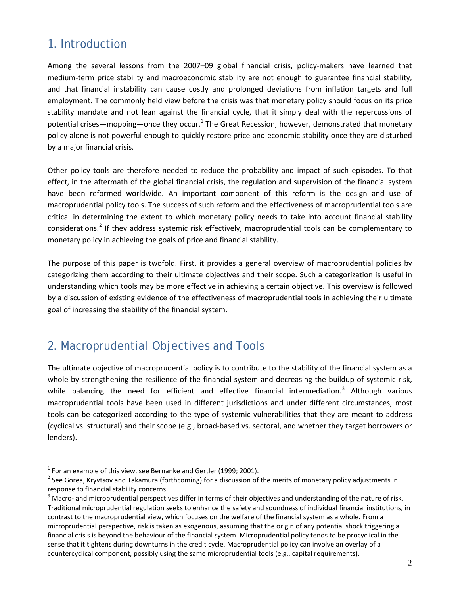## 1. Introduction

Among the several lessons from the 2007–09 global financial crisis, policy-makers have learned that medium-term price stability and macroeconomic stability are not enough to guarantee financial stability, and that financial instability can cause costly and prolonged deviations from inflation targets and full employment. The commonly held view before the crisis was that monetary policy should focus on its price stability mandate and not lean against the financial cycle, that it simply deal with the repercussions of potential crises—mopping—once they occur.<sup>[1](#page-4-0)</sup> The Great Recession, however, demonstrated that monetary policy alone is not powerful enough to quickly restore price and economic stability once they are disturbed by a major financial crisis.

Other policy tools are therefore needed to reduce the probability and impact of such episodes. To that effect, in the aftermath of the global financial crisis, the regulation and supervision of the financial system have been reformed worldwide. An important component of this reform is the design and use of macroprudential policy tools. The success of such reform and the effectiveness of macroprudential tools are critical in determining the extent to which monetary policy needs to take into account financial stability considerations.<sup>[2](#page-4-1)</sup> If they address systemic risk effectively, macroprudential tools can be complementary to monetary policy in achieving the goals of price and financial stability.

The purpose of this paper is twofold. First, it provides a general overview of macroprudential policies by categorizing them according to their ultimate objectives and their scope. Such a categorization is useful in understanding which tools may be more effective in achieving a certain objective. This overview is followed by a discussion of existing evidence of the effectiveness of macroprudential tools in achieving their ultimate goal of increasing the stability of the financial system.

## 2. Macroprudential Objectives and Tools

The ultimate objective of macroprudential policy is to contribute to the stability of the financial system as a whole by strengthening the resilience of the financial system and decreasing the buildup of systemic risk, while balancing the need for efficient and effective financial intermediation.<sup>[3](#page-4-2)</sup> Although various macroprudential tools have been used in different jurisdictions and under different circumstances, most tools can be categorized according to the type of systemic vulnerabilities that they are meant to address (cyclical vs. structural) and their scope (e.g., broad-based vs. sectoral, and whether they target borrowers or lenders).

<span id="page-4-0"></span> $1$  For an example of this view, see Bernanke and Gertler (1999; 2001).

<span id="page-4-1"></span> $^2$  See Gorea, Kryvtsov and Takamura (forthcoming) for a discussion of the merits of monetary policy adjustments in response to financial stability concerns.

<span id="page-4-2"></span> $3$  Macro- and microprudential perspectives differ in terms of their objectives and understanding of the nature of risk. Traditional microprudential regulation seeks to enhance the safety and soundness of individual financial institutions, in contrast to the macroprudential view, which focuses on the welfare of the financial system as a whole. From a microprudential perspective, risk is taken as exogenous, assuming that the origin of any potential shock triggering a financial crisis is beyond the behaviour of the financial system. Microprudential policy tends to be procyclical in the sense that it tightens during downturns in the credit cycle. Macroprudential policy can involve an overlay of a countercyclical component, possibly using the same microprudential tools (e.g., capital requirements).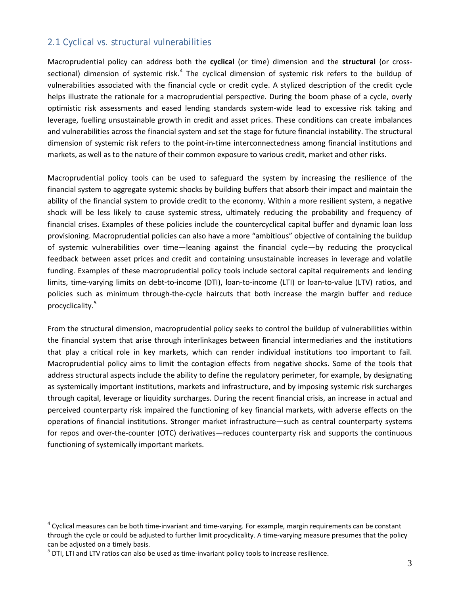#### 2.1 Cyclical vs. structural vulnerabilities

Macroprudential policy can address both the **cyclical** (or time) dimension and the **structural** (or cross-sectional) dimension of systemic risk.<sup>[4](#page-5-0)</sup> The cyclical dimension of systemic risk refers to the buildup of vulnerabilities associated with the financial cycle or credit cycle. A stylized description of the credit cycle helps illustrate the rationale for a macroprudential perspective. During the boom phase of a cycle, overly optimistic risk assessments and eased lending standards system-wide lead to excessive risk taking and leverage, fuelling unsustainable growth in credit and asset prices. These conditions can create imbalances and vulnerabilities across the financial system and set the stage for future financial instability. The structural dimension of systemic risk refers to the point-in-time interconnectedness among financial institutions and markets, as well as to the nature of their common exposure to various credit, market and other risks.

Macroprudential policy tools can be used to safeguard the system by increasing the resilience of the financial system to aggregate systemic shocks by building buffers that absorb their impact and maintain the ability of the financial system to provide credit to the economy. Within a more resilient system, a negative shock will be less likely to cause systemic stress, ultimately reducing the probability and frequency of financial crises. Examples of these policies include the countercyclical capital buffer and dynamic loan loss provisioning. Macroprudential policies can also have a more "ambitious" objective of containing the buildup of systemic vulnerabilities over time—leaning against the financial cycle—by reducing the procyclical feedback between asset prices and credit and containing unsustainable increases in leverage and volatile funding. Examples of these macroprudential policy tools include sectoral capital requirements and lending limits, time-varying limits on debt-to-income (DTI), loan-to-income (LTI) or loan-to-value (LTV) ratios, and policies such as minimum through-the-cycle haircuts that both increase the margin buffer and reduce procyclicality. [5](#page-5-1)

From the structural dimension, macroprudential policy seeks to control the buildup of vulnerabilities within the financial system that arise through interlinkages between financial intermediaries and the institutions that play a critical role in key markets, which can render individual institutions too important to fail. Macroprudential policy aims to limit the contagion effects from negative shocks. Some of the tools that address structural aspects include the ability to define the regulatory perimeter, for example, by designating as systemically important institutions, markets and infrastructure, and by imposing systemic risk surcharges through capital, leverage or liquidity surcharges. During the recent financial crisis, an increase in actual and perceived counterparty risk impaired the functioning of key financial markets, with adverse effects on the operations of financial institutions. Stronger market infrastructure—such as central counterparty systems for repos and over-the-counter (OTC) derivatives—reduces counterparty risk and supports the continuous functioning of systemically important markets.

<span id="page-5-0"></span> $4$  Cyclical measures can be both time-invariant and time-varying. For example, margin requirements can be constant through the cycle or could be adjusted to further limit procyclicality. A time-varying measure presumes that the policy can be adjusted on a timely basis.<br><sup>5</sup> DTI, LTI and LTV ratios can also be used as time-invariant policy tools to increase resilience.

<span id="page-5-1"></span>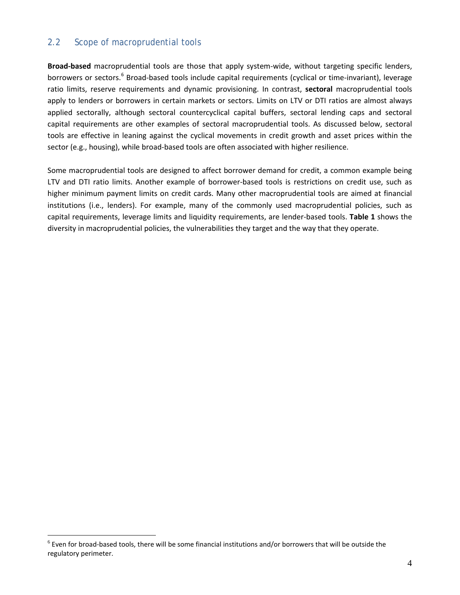#### 2.2 Scope of macroprudential tools

**Broad-based** macroprudential tools are those that apply system-wide, without targeting specific lenders, borrowers or sectors.<sup>[6](#page-6-0)</sup> Broad-based tools include capital requirements (cyclical or time-invariant), leverage ratio limits, reserve requirements and dynamic provisioning. In contrast, **sectoral** macroprudential tools apply to lenders or borrowers in certain markets or sectors. Limits on LTV or DTI ratios are almost always applied sectorally, although sectoral countercyclical capital buffers, sectoral lending caps and sectoral capital requirements are other examples of sectoral macroprudential tools. As discussed below, sectoral tools are effective in leaning against the cyclical movements in credit growth and asset prices within the sector (e.g., housing), while broad-based tools are often associated with higher resilience.

Some macroprudential tools are designed to affect borrower demand for credit, a common example being LTV and DTI ratio limits. Another example of borrower-based tools is restrictions on credit use, such as higher minimum payment limits on credit cards. Many other macroprudential tools are aimed at financial institutions (i.e., lenders). For example, many of the commonly used macroprudential policies, such as capital requirements, leverage limits and liquidity requirements, are lender-based tools. **Table 1** shows the diversity in macroprudential policies, the vulnerabilities they target and the way that they operate.

<span id="page-6-0"></span> $^6$  Even for broad-based tools, there will be some financial institutions and/or borrowers that will be outside the regulatory perimeter.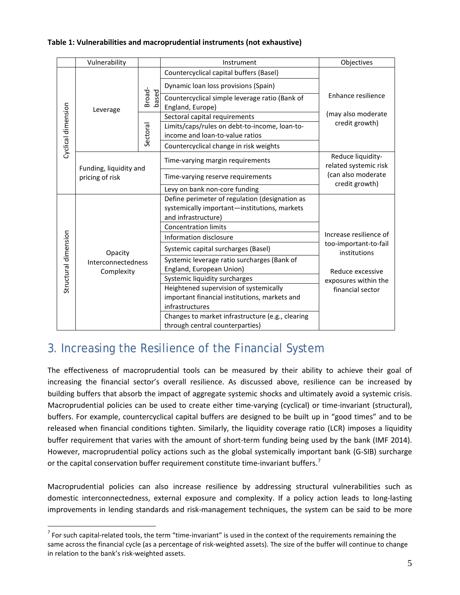#### **Table 1: Vulnerabilities and macroprudential instruments (not exhaustive)**

|                      | Vulnerability                               |                 | Instrument                                                         | Objectives                                                                                                                      |
|----------------------|---------------------------------------------|-----------------|--------------------------------------------------------------------|---------------------------------------------------------------------------------------------------------------------------------|
| Cyclical dimension   | Leverage                                    | Broad-<br>based | Countercyclical capital buffers (Basel)                            | Enhance resilience<br>(may also moderate<br>credit growth)                                                                      |
|                      |                                             |                 | Dynamic loan loss provisions (Spain)                               |                                                                                                                                 |
|                      |                                             |                 | Countercyclical simple leverage ratio (Bank of<br>England, Europe) |                                                                                                                                 |
|                      |                                             | Sectoral        | Sectoral capital requirements                                      |                                                                                                                                 |
|                      |                                             |                 | Limits/caps/rules on debt-to-income, loan-to-                      |                                                                                                                                 |
|                      |                                             |                 | income and loan-to-value ratios                                    |                                                                                                                                 |
|                      |                                             |                 | Countercyclical change in risk weights                             |                                                                                                                                 |
|                      | Funding, liquidity and<br>pricing of risk   |                 | Time-varying margin requirements                                   | Reduce liquidity-<br>related systemic risk<br>(can also moderate<br>credit growth)                                              |
|                      |                                             |                 | Time-varying reserve requirements                                  |                                                                                                                                 |
|                      |                                             |                 | Levy on bank non-core funding                                      |                                                                                                                                 |
| Structural dimension | Opacity<br>Interconnectedness<br>Complexity |                 | Define perimeter of regulation (designation as                     | Increase resilience of<br>too-important-to-fail<br>institutions<br>Reduce excessive<br>exposures within the<br>financial sector |
|                      |                                             |                 | systemically important-institutions, markets                       |                                                                                                                                 |
|                      |                                             |                 | and infrastructure)                                                |                                                                                                                                 |
|                      |                                             |                 | <b>Concentration limits</b>                                        |                                                                                                                                 |
|                      |                                             |                 | Information disclosure                                             |                                                                                                                                 |
|                      |                                             |                 | Systemic capital surcharges (Basel)                                |                                                                                                                                 |
|                      |                                             |                 | Systemic leverage ratio surcharges (Bank of                        |                                                                                                                                 |
|                      |                                             |                 | England, European Union)                                           |                                                                                                                                 |
|                      |                                             |                 | Systemic liquidity surcharges                                      |                                                                                                                                 |
|                      |                                             |                 | Heightened supervision of systemically                             |                                                                                                                                 |
|                      |                                             |                 | important financial institutions, markets and                      |                                                                                                                                 |
|                      |                                             |                 | infrastructures                                                    |                                                                                                                                 |
|                      |                                             |                 | Changes to market infrastructure (e.g., clearing                   |                                                                                                                                 |
|                      |                                             |                 | through central counterparties)                                    |                                                                                                                                 |

# 3. Increasing the Resilience of the Financial System

The effectiveness of macroprudential tools can be measured by their ability to achieve their goal of increasing the financial sector's overall resilience. As discussed above, resilience can be increased by building buffers that absorb the impact of aggregate systemic shocks and ultimately avoid a systemic crisis. Macroprudential policies can be used to create either time-varying (cyclical) or time-invariant (structural), buffers. For example, countercyclical capital buffers are designed to be built up in "good times" and to be released when financial conditions tighten. Similarly, the liquidity coverage ratio (LCR) imposes a liquidity buffer requirement that varies with the amount of short-term funding being used by the bank (IMF 2014). However, macroprudential policy actions such as the global systemically important bank (G-SIB) surcharge or the capital conservation buffer requirement constitute time-invariant buffers.<sup>[7](#page-7-0)</sup>

Macroprudential policies can also increase resilience by addressing structural vulnerabilities such as domestic interconnectedness, external exposure and complexity. If a policy action leads to long-lasting improvements in lending standards and risk-management techniques, the system can be said to be more

<span id="page-7-0"></span> $<sup>7</sup>$  For such capital-related tools, the term "time-invariant" is used in the context of the requirements remaining the</sup> same across the financial cycle (as a percentage of risk-weighted assets). The size of the buffer will continue to change in relation to the bank's risk-weighted assets.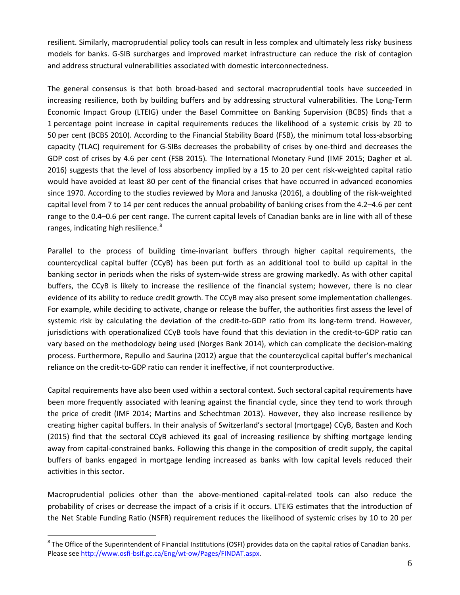resilient. Similarly, macroprudential policy tools can result in less complex and ultimately less risky business models for banks. G-SIB surcharges and improved market infrastructure can reduce the risk of contagion and address structural vulnerabilities associated with domestic interconnectedness.

The general consensus is that both broad-based and sectoral macroprudential tools have succeeded in increasing resilience, both by building buffers and by addressing structural vulnerabilities. The Long-Term Economic Impact Group (LTEIG) under the Basel Committee on Banking Supervision (BCBS) finds that a 1 percentage point increase in capital requirements reduces the likelihood of a systemic crisis by 20 to 50 per cent (BCBS 2010). According to the Financial Stability Board (FSB), the minimum total loss-absorbing capacity (TLAC) requirement for G-SIBs decreases the probability of crises by one-third and decreases the GDP cost of crises by 4.6 per cent (FSB 2015)*.* The International Monetary Fund (IMF 2015; Dagher et al. 2016) suggests that the level of loss absorbency implied by a 15 to 20 per cent risk-weighted capital ratio would have avoided at least 80 per cent of the financial crises that have occurred in advanced economies since 1970. According to the studies reviewed by Mora and Januska (2016), a doubling of the risk-weighted capital level from 7 to 14 per cent reduces the annual probability of banking crises from the 4.2–4.6 per cent range to the 0.4–0.6 per cent range. The current capital levels of Canadian banks are in line with all of these ranges, indicating high resilience.<sup>[8](#page-8-0)</sup>

Parallel to the process of building time-invariant buffers through higher capital requirements, the countercyclical capital buffer (CCyB) has been put forth as an additional tool to build up capital in the banking sector in periods when the risks of system-wide stress are growing markedly. As with other capital buffers, the CCyB is likely to increase the resilience of the financial system; however, there is no clear evidence of its ability to reduce credit growth. The CCyB may also present some implementation challenges. For example, while deciding to activate, change or release the buffer, the authorities first assess the level of systemic risk by calculating the deviation of the credit-to-GDP ratio from its long-term trend. However, jurisdictions with operationalized CCyB tools have found that this deviation in the credit-to-GDP ratio can vary based on the methodology being used (Norges Bank 2014), which can complicate the decision-making process. Furthermore, Repullo and Saurina (2012) argue that the countercyclical capital buffer's mechanical reliance on the credit-to-GDP ratio can render it ineffective, if not counterproductive.

Capital requirements have also been used within a sectoral context. Such sectoral capital requirements have been more frequently associated with leaning against the financial cycle, since they tend to work through the price of credit (IMF 2014; Martins and Schechtman 2013). However, they also increase resilience by creating higher capital buffers. In their analysis of Switzerland's sectoral (mortgage) CCyB, Basten and Koch (2015) find that the sectoral CCyB achieved its goal of increasing resilience by shifting mortgage lending away from capital-constrained banks. Following this change in the composition of credit supply, the capital buffers of banks engaged in mortgage lending increased as banks with low capital levels reduced their activities in this sector.

Macroprudential policies other than the above-mentioned capital-related tools can also reduce the probability of crises or decrease the impact of a crisis if it occurs. LTEIG estimates that the introduction of the Net Stable Funding Ratio (NSFR) requirement reduces the likelihood of systemic crises by 10 to 20 per

<span id="page-8-0"></span> $8$  The Office of the Superintendent of Financial Institutions (OSFI) provides data on the capital ratios of Canadian banks. Please see [http://www.osfi-bsif.gc.ca/Eng/wt-ow/Pages/FINDAT.aspx.](http://www.osfi-bsif.gc.ca/Eng/wt-ow/Pages/FINDAT.aspx)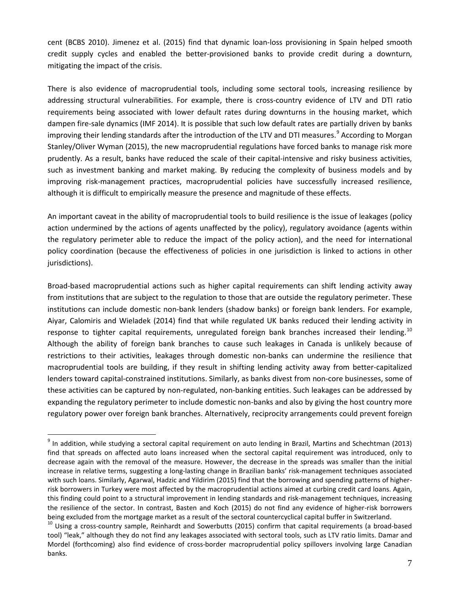cent (BCBS 2010). Jimenez et al. (2015) find that dynamic loan-loss provisioning in Spain helped smooth credit supply cycles and enabled the better-provisioned banks to provide credit during a downturn, mitigating the impact of the crisis.

There is also evidence of macroprudential tools, including some sectoral tools, increasing resilience by addressing structural vulnerabilities. For example, there is cross-country evidence of LTV and DTI ratio requirements being associated with lower default rates during downturns in the housing market, which dampen fire-sale dynamics (IMF 2014). It is possible that such low default rates are partially driven by banks improving their lending standards after the introduction of the LTV and DTI measures.<sup>[9](#page-9-0)</sup> According to Morgan Stanley/Oliver Wyman (2015), the new macroprudential regulations have forced banks to manage risk more prudently. As a result, banks have reduced the scale of their capital-intensive and risky business activities, such as investment banking and market making. By reducing the complexity of business models and by improving risk-management practices, macroprudential policies have successfully increased resilience, although it is difficult to empirically measure the presence and magnitude of these effects.

An important caveat in the ability of macroprudential tools to build resilience is the issue of leakages (policy action undermined by the actions of agents unaffected by the policy), regulatory avoidance (agents within the regulatory perimeter able to reduce the impact of the policy action), and the need for international policy coordination (because the effectiveness of policies in one jurisdiction is linked to actions in other jurisdictions).

Broad-based macroprudential actions such as higher capital requirements can shift lending activity away from institutions that are subject to the regulation to those that are outside the regulatory perimeter. These institutions can include domestic non-bank lenders (shadow banks) or foreign bank lenders. For example, Aiyar, Calomiris and Wieladek (2014) find that while regulated UK banks reduced their lending activity in response to tighter capital requirements, unregulated foreign bank branches increased their lending.<sup>[10](#page-9-1)</sup> Although the ability of foreign bank branches to cause such leakages in Canada is unlikely because of restrictions to their activities, leakages through domestic non-banks can undermine the resilience that macroprudential tools are building, if they result in shifting lending activity away from better-capitalized lenders toward capital-constrained institutions. Similarly, as banks divest from non-core businesses, some of these activities can be captured by non-regulated, non-banking entities. Such leakages can be addressed by expanding the regulatory perimeter to include domestic non-banks and also by giving the host country more regulatory power over foreign bank branches. Alternatively, reciprocity arrangements could prevent foreign

<span id="page-9-0"></span> $9$  In addition, while studying a sectoral capital requirement on auto lending in Brazil, Martins and Schechtman (2013) find that spreads on affected auto loans increased when the sectoral capital requirement was introduced, only to decrease again with the removal of the measure. However, the decrease in the spreads was smaller than the initial increase in relative terms, suggesting a long-lasting change in Brazilian banks' risk-management techniques associated with such loans. Similarly, Agarwal, Hadzic and Yildirim (2015) find that the borrowing and spending patterns of higherrisk borrowers in Turkey were most affected by the macroprudential actions aimed at curbing credit card loans. Again, this finding could point to a structural improvement in lending standards and risk-management techniques, increasing the resilience of the sector. In contrast, Basten and Koch (2015) do not find any evidence of higher-risk borrowers being excluded from the mortgage market as a result of the sectoral countercyclical capital buffer in Switzerland.

<span id="page-9-1"></span><sup>&</sup>lt;sup>10</sup> Using a cross-country sample, Reinhardt and Sowerbutts (2015) confirm that capital requirements (a broad-based tool) "leak," although they do not find any leakages associated with sectoral tools, such as LTV ratio limits. Damar and Mordel (forthcoming) also find evidence of cross-border macroprudential policy spillovers involving large Canadian banks.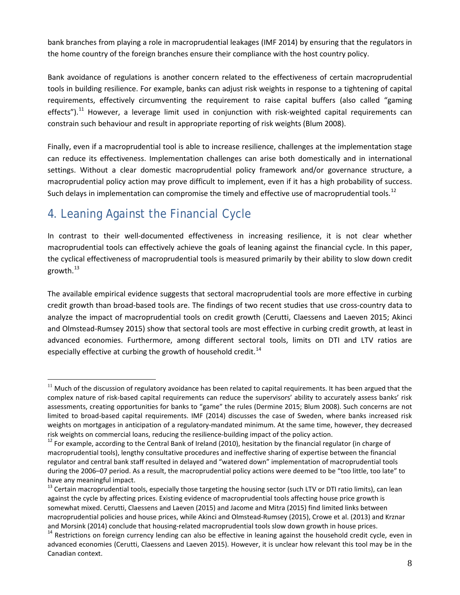bank branches from playing a role in macroprudential leakages (IMF 2014) by ensuring that the regulators in the home country of the foreign branches ensure their compliance with the host country policy.

Bank avoidance of regulations is another concern related to the effectiveness of certain macroprudential tools in building resilience. For example, banks can adjust risk weights in response to a tightening of capital requirements, effectively circumventing the requirement to raise capital buffers (also called "gaming effects").<sup>[11](#page-10-0)</sup> However, a leverage limit used in conjunction with risk-weighted capital requirements can constrain such behaviour and result in appropriate reporting of risk weights (Blum 2008).

Finally, even if a macroprudential tool is able to increase resilience, challenges at the implementation stage can reduce its effectiveness. Implementation challenges can arise both domestically and in international settings. Without a clear domestic macroprudential policy framework and/or governance structure, a macroprudential policy action may prove difficult to implement, even if it has a high probability of success. Such delays in implementation can compromise the timely and effective use of macroprudential tools.<sup>[12](#page-10-1)</sup>

# 4. Leaning Against the Financial Cycle

In contrast to their well-documented effectiveness in increasing resilience, it is not clear whether macroprudential tools can effectively achieve the goals of leaning against the financial cycle. In this paper, the cyclical effectiveness of macroprudential tools is measured primarily by their ability to slow down credit growth. $^{13}$  $^{13}$  $^{13}$ 

The available empirical evidence suggests that sectoral macroprudential tools are more effective in curbing credit growth than broad-based tools are. The findings of two recent studies that use cross-country data to analyze the impact of macroprudential tools on credit growth (Cerutti, Claessens and Laeven 2015; Akinci and Olmstead-Rumsey 2015) show that sectoral tools are most effective in curbing credit growth, at least in advanced economies. Furthermore, among different sectoral tools, limits on DTI and LTV ratios are especially effective at curbing the growth of household credit.<sup>14</sup>

<span id="page-10-0"></span> $11$  Much of the discussion of regulatory avoidance has been related to capital requirements. It has been argued that the complex nature of risk-based capital requirements can reduce the supervisors' ability to accurately assess banks' risk assessments, creating opportunities for banks to "game" the rules (Dermine 2015; Blum 2008). Such concerns are not limited to broad-based capital requirements. IMF (2014) discusses the case of Sweden, where banks increased risk weights on mortgages in anticipation of a regulatory-mandated minimum. At the same time, however, they decreased risk weights on commercial loans, reducing the resilience-building impact of the policy action.<br><sup>12</sup> For example, according to the Central Bank of Ireland (2010), hesitation by the financial regulator (in charge of

<span id="page-10-1"></span>macroprudential tools), lengthy consultative procedures and ineffective sharing of expertise between the financial regulator and central bank staff resulted in delayed and "watered down" implementation of macroprudential tools during the 2006–07 period. As a result, the macroprudential policy actions were deemed to be "too little, too late" to have any meaningful impact.

<span id="page-10-2"></span><sup>&</sup>lt;sup>13</sup> Certain macroprudential tools, especially those targeting the housing sector (such LTV or DTI ratio limits), can lean against the cycle by affecting prices. Existing evidence of macroprudential tools affecting house price growth is somewhat mixed. Cerutti, Claessens and Laeven (2015) and Jacome and Mitra (2015) find limited links between macroprudential policies and house prices, while Akinci and Olmstead-Rumsey (2015), Crowe et al. (2013) and Krznar and Morsink (2014) conclude that housing-related macroprudential tools slow down growth in house prices.<br><sup>14</sup> Restrictions on foreign currency lending can also be effective in leaning against the household credit cycle, e

<span id="page-10-3"></span>advanced economies (Cerutti, Claessens and Laeven 2015). However, it is unclear how relevant this tool may be in the Canadian context.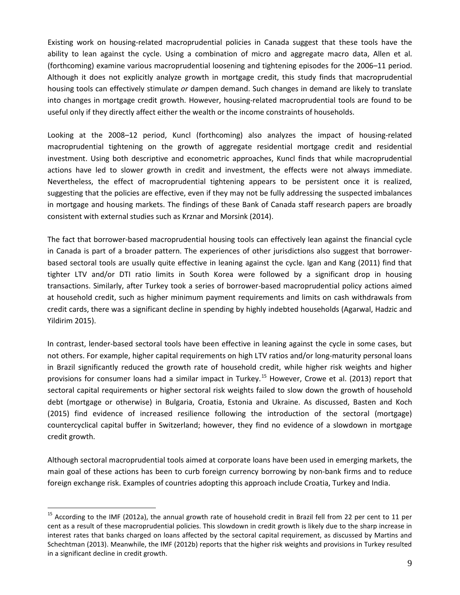Existing work on housing-related macroprudential policies in Canada suggest that these tools have the ability to lean against the cycle. Using a combination of micro and aggregate macro data, Allen et al. (forthcoming) examine various macroprudential loosening and tightening episodes for the 2006–11 period. Although it does not explicitly analyze growth in mortgage credit, this study finds that macroprudential housing tools can effectively stimulate *or* dampen demand. Such changes in demand are likely to translate into changes in mortgage credit growth. However, housing-related macroprudential tools are found to be useful only if they directly affect either the wealth or the income constraints of households.

Looking at the 2008–12 period, Kuncl (forthcoming) also analyzes the impact of housing-related macroprudential tightening on the growth of aggregate residential mortgage credit and residential investment. Using both descriptive and econometric approaches, Kuncl finds that while macroprudential actions have led to slower growth in credit and investment, the effects were not always immediate. Nevertheless, the effect of macroprudential tightening appears to be persistent once it is realized, suggesting that the policies are effective, even if they may not be fully addressing the suspected imbalances in mortgage and housing markets. The findings of these Bank of Canada staff research papers are broadly consistent with external studies such as Krznar and Morsink (2014).

The fact that borrower-based macroprudential housing tools can effectively lean against the financial cycle in Canada is part of a broader pattern. The experiences of other jurisdictions also suggest that borrowerbased sectoral tools are usually quite effective in leaning against the cycle. Igan and Kang (2011) find that tighter LTV and/or DTI ratio limits in South Korea were followed by a significant drop in housing transactions. Similarly, after Turkey took a series of borrower-based macroprudential policy actions aimed at household credit, such as higher minimum payment requirements and limits on cash withdrawals from credit cards, there was a significant decline in spending by highly indebted households (Agarwal, Hadzic and Yildirim 2015).

In contrast, lender-based sectoral tools have been effective in leaning against the cycle in some cases, but not others. For example, higher capital requirements on high LTV ratios and/or long-maturity personal loans in Brazil significantly reduced the growth rate of household credit, while higher risk weights and higher provisions for consumer loans had a similar impact in Turkey.<sup>[15](#page-11-0)</sup> However, Crowe et al. (2013) report that sectoral capital requirements or higher sectoral risk weights failed to slow down the growth of household debt (mortgage or otherwise) in Bulgaria, Croatia, Estonia and Ukraine. As discussed, Basten and Koch (2015) find evidence of increased resilience following the introduction of the sectoral (mortgage) countercyclical capital buffer in Switzerland; however, they find no evidence of a slowdown in mortgage credit growth.

Although sectoral macroprudential tools aimed at corporate loans have been used in emerging markets, the main goal of these actions has been to curb foreign currency borrowing by non-bank firms and to reduce foreign exchange risk. Examples of countries adopting this approach include Croatia, Turkey and India.

<span id="page-11-0"></span> $15$  According to the IMF (2012a), the annual growth rate of household credit in Brazil fell from 22 per cent to 11 per cent as a result of these macroprudential policies. This slowdown in credit growth is likely due to the sharp increase in interest rates that banks charged on loans affected by the sectoral capital requirement, as discussed by Martins and Schechtman (2013). Meanwhile, the IMF (2012b) reports that the higher risk weights and provisions in Turkey resulted in a significant decline in credit growth.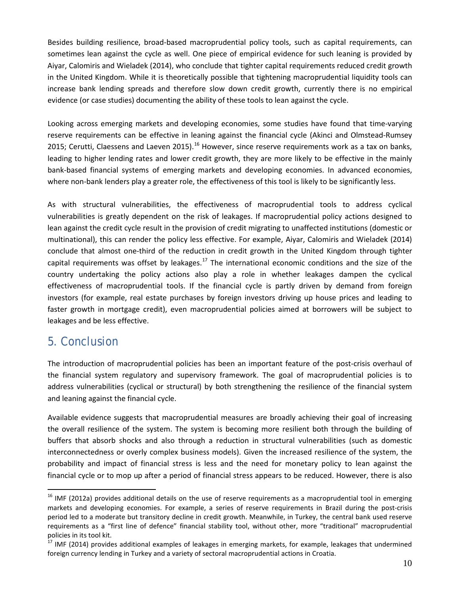Besides building resilience, broad-based macroprudential policy tools, such as capital requirements, can sometimes lean against the cycle as well. One piece of empirical evidence for such leaning is provided by Aiyar, Calomiris and Wieladek (2014), who conclude that tighter capital requirements reduced credit growth in the United Kingdom. While it is theoretically possible that tightening macroprudential liquidity tools can increase bank lending spreads and therefore slow down credit growth, currently there is no empirical evidence (or case studies) documenting the ability of these tools to lean against the cycle.

Looking across emerging markets and developing economies, some studies have found that time-varying reserve requirements can be effective in leaning against the financial cycle (Akinci and Olmstead-Rumsey 2015; Cerutti, Claessens and Laeven 2015).<sup>[16](#page-12-0)</sup> However, since reserve requirements work as a tax on banks, leading to higher lending rates and lower credit growth, they are more likely to be effective in the mainly bank-based financial systems of emerging markets and developing economies. In advanced economies, where non-bank lenders play a greater role, the effectiveness of this tool is likely to be significantly less.

As with structural vulnerabilities, the effectiveness of macroprudential tools to address cyclical vulnerabilities is greatly dependent on the risk of leakages. If macroprudential policy actions designed to lean against the credit cycle result in the provision of credit migrating to unaffected institutions (domestic or multinational), this can render the policy less effective. For example, Aiyar, Calomiris and Wieladek (2014) conclude that almost one-third of the reduction in credit growth in the United Kingdom through tighter capital requirements was offset by leakages.<sup>[17](#page-12-1)</sup> The international economic conditions and the size of the country undertaking the policy actions also play a role in whether leakages dampen the cyclical effectiveness of macroprudential tools. If the financial cycle is partly driven by demand from foreign investors (for example, real estate purchases by foreign investors driving up house prices and leading to faster growth in mortgage credit), even macroprudential policies aimed at borrowers will be subject to leakages and be less effective.

#### 5. Conclusion

The introduction of macroprudential policies has been an important feature of the post-crisis overhaul of the financial system regulatory and supervisory framework. The goal of macroprudential policies is to address vulnerabilities (cyclical or structural) by both strengthening the resilience of the financial system and leaning against the financial cycle.

Available evidence suggests that macroprudential measures are broadly achieving their goal of increasing the overall resilience of the system. The system is becoming more resilient both through the building of buffers that absorb shocks and also through a reduction in structural vulnerabilities (such as domestic interconnectedness or overly complex business models). Given the increased resilience of the system, the probability and impact of financial stress is less and the need for monetary policy to lean against the financial cycle or to mop up after a period of financial stress appears to be reduced. However, there is also

<span id="page-12-0"></span> $16$  IMF (2012a) provides additional details on the use of reserve requirements as a macroprudential tool in emerging markets and developing economies. For example, a series of reserve requirements in Brazil during the post-crisis period led to a moderate but transitory decline in credit growth. Meanwhile, in Turkey, the central bank used reserve requirements as a "first line of defence" financial stability tool, without other, more "traditional" macroprudential

<span id="page-12-1"></span>policies in its tool kit.<br><sup>17</sup> IMF (2014) provides additional examples of leakages in emerging markets, for example, leakages that undermined foreign currency lending in Turkey and a variety of sectoral macroprudential actions in Croatia.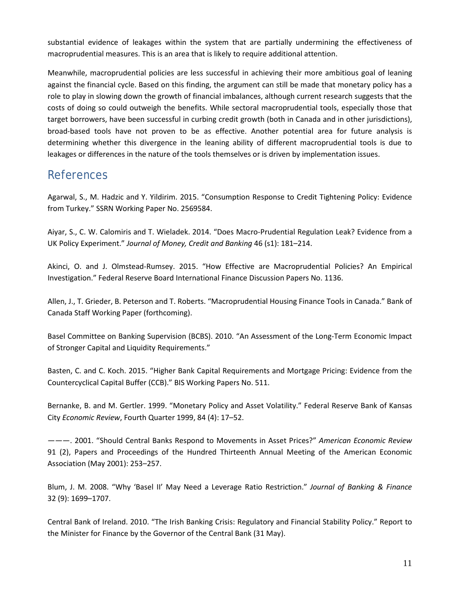substantial evidence of leakages within the system that are partially undermining the effectiveness of macroprudential measures. This is an area that is likely to require additional attention.

Meanwhile, macroprudential policies are less successful in achieving their more ambitious goal of leaning against the financial cycle. Based on this finding, the argument can still be made that monetary policy has a role to play in slowing down the growth of financial imbalances, although current research suggests that the costs of doing so could outweigh the benefits. While sectoral macroprudential tools, especially those that target borrowers, have been successful in curbing credit growth (both in Canada and in other jurisdictions), broad-based tools have not proven to be as effective. Another potential area for future analysis is determining whether this divergence in the leaning ability of different macroprudential tools is due to leakages or differences in the nature of the tools themselves or is driven by implementation issues.

### References

Agarwal, S., M. Hadzic and Y. Yildirim. 2015. "Consumption Response to Credit Tightening Policy: Evidence from Turkey." SSRN Working Paper No. 2569584.

Aiyar, S., C. W. Calomiris and T. Wieladek. 2014. "Does Macro-Prudential Regulation Leak? Evidence from a UK Policy Experiment." *Journal of Money, Credit and Banking* 46 (s1): 181–214.

Akinci, O. and J. Olmstead-Rumsey. 2015. "How Effective are Macroprudential Policies? An Empirical Investigation." Federal Reserve Board International Finance Discussion Papers No. 1136.

Allen, J., T. Grieder, B. Peterson and T. Roberts. "Macroprudential Housing Finance Tools in Canada." Bank of Canada Staff Working Paper (forthcoming).

Basel Committee on Banking Supervision (BCBS). 2010. "An Assessment of the Long-Term Economic Impact of Stronger Capital and Liquidity Requirements."

Basten, C. and C. Koch. 2015. "Higher Bank Capital Requirements and Mortgage Pricing: Evidence from the Countercyclical Capital Buffer (CCB)." BIS Working Papers No. 511.

Bernanke, B. and M. Gertler. 1999. "Monetary Policy and Asset Volatility." Federal Reserve Bank of Kansas City *Economic Review*, Fourth Quarter 1999, 84 (4): 17–52.

———. 2001. "Should Central Banks Respond to Movements in Asset Prices?" *American Economic Review* 91 (2), Papers and Proceedings of the Hundred Thirteenth Annual Meeting of the American Economic Association (May 2001): 253–257.

Blum, J. M. 2008. "Why 'Basel II' May Need a Leverage Ratio Restriction." *Journal of Banking & Finance* 32 (9): 1699–1707.

Central Bank of Ireland. 2010. "The Irish Banking Crisis: Regulatory and Financial Stability Policy." Report to the Minister for Finance by the Governor of the Central Bank (31 May).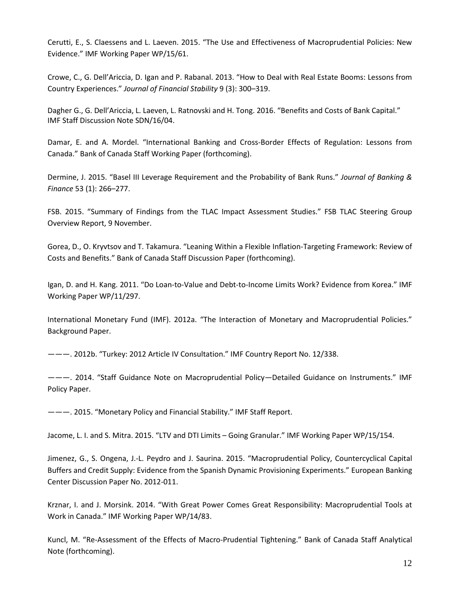Cerutti, E., S. Claessens and L. Laeven. 2015. "The Use and Effectiveness of Macroprudential Policies: New Evidence." IMF Working Paper WP/15/61.

Crowe, C., G. Dell'Ariccia, D. Igan and P. Rabanal. 2013. "How to Deal with Real Estate Booms: Lessons from Country Experiences." *Journal of Financial Stability* 9 (3): 300–319.

Dagher G., G. Dell'Ariccia, L. Laeven, L. Ratnovski and H. Tong. 2016. "Benefits and Costs of Bank Capital." IMF Staff Discussion Note SDN/16/04.

Damar, E. and A. Mordel. "International Banking and Cross-Border Effects of Regulation: Lessons from Canada." Bank of Canada Staff Working Paper (forthcoming).

Dermine, J. 2015. "Basel III Leverage Requirement and the Probability of Bank Runs." *Journal of Banking & Finance* 53 (1): 266–277.

FSB. 2015. "Summary of Findings from the TLAC Impact Assessment Studies." FSB TLAC Steering Group Overview Report, 9 November.

Gorea, D., O. Kryvtsov and T. Takamura. "Leaning Within a Flexible Inflation-Targeting Framework: Review of Costs and Benefits." Bank of Canada Staff Discussion Paper (forthcoming).

Igan, D. and H. Kang. 2011. "Do Loan-to-Value and Debt-to-Income Limits Work? Evidence from Korea." IMF Working Paper WP/11/297.

International Monetary Fund (IMF). 2012a. "The Interaction of Monetary and Macroprudential Policies." Background Paper.

———. 2012b. "Turkey: 2012 Article IV Consultation." IMF Country Report No. 12/338.

———. 2014. "Staff Guidance Note on Macroprudential Policy—Detailed Guidance on Instruments." IMF Policy Paper.

———. 2015. "Monetary Policy and Financial Stability." IMF Staff Report.

Jacome, L. I. and S. Mitra. 2015. "LTV and DTI Limits – Going Granular." IMF Working Paper WP/15/154.

Jimenez, G., S. Ongena, J.-L. Peydro and J. Saurina. 2015. "Macroprudential Policy, Countercyclical Capital Buffers and Credit Supply: Evidence from the Spanish Dynamic Provisioning Experiments." European Banking Center Discussion Paper No. 2012-011.

Krznar, I. and J. Morsink. 2014. "With Great Power Comes Great Responsibility: Macroprudential Tools at Work in Canada." IMF Working Paper WP/14/83.

Kuncl, M. "Re-Assessment of the Effects of Macro-Prudential Tightening." Bank of Canada Staff Analytical Note (forthcoming).